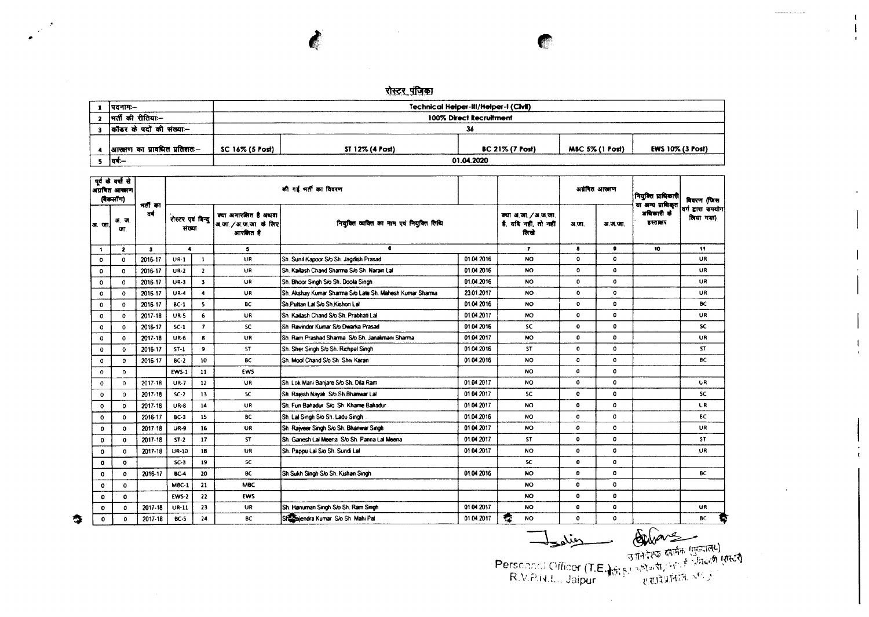## रोस्टर पंजिका

Technical Helper-III/Helper-I (Civil) |पदनामः–  $\mathbf{1}$ 2 मर्ती की रीतियां:-100% Direct Recruitment 3 कॉडर के पदों की संख्या .-36 4 आस्वाण का प्रावधित प्रतिशतः-SC 16% (5 Post) ST 12% (4 Post) BC 21% (7 Post) MBC 5% (1 Post) EWS 10% (3 Post)  $5 - \overline{44}$ 01.04.2020

|              | पूर्व के वर्षों से<br>अग्रवित आसाण<br>(बैकलॉग) |               |                                                                                         |                          |            | की गई भर्ती का विवरण                                     |            |                                                     | अवेषित आरक्षण  |              | नियुक्ति प्राधिकारी <br>या अन्य प्राधिकृत | विवरण (जिस                      |
|--------------|------------------------------------------------|---------------|-----------------------------------------------------------------------------------------|--------------------------|------------|----------------------------------------------------------|------------|-----------------------------------------------------|----------------|--------------|-------------------------------------------|---------------------------------|
| अ. जा        | अ. ज.<br>GT.                                   | नतां का<br>ਰਵ | क्या अनारशित है अथवा<br>रोस्टर एवं बिन्दु<br>अ.जा./अ.ज.जा. के लिए<br>संख्या<br>आरमित है |                          |            | नियुक्ति व्यक्ति का नाम एवं नियुक्ति तिथि                |            | क्या अ.जा./अ.ज.जा.<br>है. यदि नहीं, तो नहीं<br>तिखे | 31 U.T.        | अ.ज.जा.      | अधिकारी के<br>हस्ताबार                    | वर्ग द्वारा उपयोग <br>लिया गया) |
| $\mathbf{1}$ | $\mathbf{z}$                                   | $\mathbf{3}$  | $\blacktriangle$                                                                        |                          | 5          | $\bullet$                                                |            | $\mathbf{r}$                                        | $\blacksquare$ | $\bullet$    | 10                                        | 11                              |
| $\circ$      | $\mathbf 0$                                    | 2016-17       | $UR-1$                                                                                  | $\mathbf{1}$             | UR         | Sh. Sunil Kapoor S/o Sh. Jagdish Prasad                  | 01.04.2016 | NO.                                                 | ٥              | $\mathbf{o}$ |                                           | UR.                             |
| $\Omega$     | $\mathbf{o}$                                   | 2016-17       | $UR-2$                                                                                  | $\overline{z}$           | UR         | ISh, Kaitash Chand Sharma S/o Sh, Narain Lat             | 01.04.2016 | NO.                                                 | o              | $\mathbf{o}$ |                                           | UR                              |
| 0            | $\mathbf{o}$                                   | 2016-17       | $UR-3$                                                                                  | 3                        | UR         | Sh. Bhoor Singh S/o Sh. Doola Singh                      | 01.04.2016 | <b>NO</b>                                           | $\mathbf{o}$   | $\mathbf{o}$ |                                           | UR                              |
| $\circ$      | $\circ$                                        | 2016-17       | $UR-4$                                                                                  | $\blacktriangleleft$     | <b>UR</b>  | Sh. Akshay Kumar Sharma S/o Late Sh. Mahesh Kumar Sharma | 23.01.2017 | <b>NO</b>                                           | 0              | $\circ$      |                                           | UR.                             |
| 0            | $\circ$                                        | 2016-17       | $BC-1$                                                                                  | 5                        | BC         | Sh Puttan Lai S/o Sh Kishon Lai                          | 01.04 2016 | NO.                                                 | $\mathbf{o}$   | $\Omega$     |                                           | BC.                             |
| $\mathbf{O}$ | $\circ$                                        | 2017-18       | $UR-S$                                                                                  | 6                        | <b>UR</b>  | Sh. Kailash Chand S/o Sh. Prabhati Lal                   | 01.04.2017 | NO.                                                 | $\bullet$      | $\bullet$    |                                           | UR                              |
| $\Omega$     | $\circ$                                        | 2016-17       | $SC-1$                                                                                  | $\overline{\phantom{a}}$ | <b>SC</b>  | Sh Ravinder Kumar S/o Dwarka Prasad                      | 01.04 2016 | <b>SC</b>                                           | $\mathbf 0$    | $\Omega$     |                                           | sc.                             |
| $\Omega$     | $\mathbf{o}$                                   | 2017-18       | $UR-6$                                                                                  | $\mathbf{R}$             | UR.        | ISh Ram Prashad Sharma S/o Sh, Janakmani Sharma          | 01.04 2017 | NO.                                                 | $\bullet$      | $\mathbf{O}$ |                                           | <b>UR</b>                       |
| o            | $\circ$                                        | 2016-17       | $ST-1$                                                                                  | 9                        | ST         | Sh. Sher Singh S/o Sh. Richpal Singh                     | 01.04.2016 | <b>ST</b>                                           | 0              | $\Omega$     |                                           | ST.                             |
| $\mathbf o$  | $\mathbf 0$                                    | 2016-17       | $BC-2$                                                                                  | 10                       | BC         | Sh. Mool Chand S/o Sh. Shiv Karan                        | 01.04.2016 | <b>NO</b>                                           | 0              | $\mathbf{o}$ |                                           | 8C                              |
| $\Omega$     | $\mathbf{0}$                                   |               | <b>EWS-1</b>                                                                            | 11                       | <b>EWS</b> |                                                          |            | <b>NO</b>                                           | $\bf o$        | $\Omega$     |                                           |                                 |
| $\Omega$     | $\Omega$                                       | 2017-18       | <b>UR-7</b>                                                                             | 12                       | <b>UR</b>  | <b>ISh. Lok Mani Baniare S/o Sh. Dila Ram</b>            | 01.04.2017 | <b>NO</b>                                           | $\mathbf 0$    | $\mathbf{o}$ |                                           | <b>UR</b>                       |
| $\mathbf{o}$ | $\mathbf{o}$                                   | 2017-18       | $SC-2$                                                                                  | 13                       | SC.        | Sh Rajesh Nayak S/o Sh Bhanwar Lai                       | 0104 2017  | <b>SC</b>                                           | $^{\circ}$     | $\mathbf{o}$ |                                           | SC.                             |
| $\mathbf{o}$ | $\circ$                                        | 2017-18       | $UR - 8$                                                                                | 14                       | UR.        | Sh. Fun Bahadur, S/o, Sh. Khame Bahadur                  | 0104.2017  | NO.                                                 | $\bullet$      | $\Omega$     |                                           | <b>LR</b>                       |
| $\circ$      | $\circ$                                        | 2016-17       | $BC-3$                                                                                  | 15                       | BC         | Sh. Lai Singh S/o Sh. Ladu Singh                         | 01.04.2016 | <b>NO</b>                                           | 0              | o            |                                           | BC.                             |
| 0            | $\mathbf{o}$                                   | 2017-18       | <b>UR-9</b>                                                                             | 16                       | <b>UR</b>  | Sh. Raiweer Singh S/o Sh. Bhanwar Singh                  | 01.04.2017 | <b>NO</b>                                           | 0              | $\circ$      |                                           | UR                              |
| 0            | $\mathbf 0$                                    | $2017 - 18$   | $ST-2$                                                                                  | 17                       | 57         | <b>ISh, Ganesh Lai Meena, Sio Sh, Panna Lai Meena</b>    | 01:04:2017 | <b>ST</b>                                           | $\mathbf{o}$   | $\circ$      |                                           | ST.                             |
| 0            | $\mathbf 0$                                    | 2017-18       | UR-10                                                                                   | 18                       | UR.        | Sh. Pappu Lal S/o Sh. Sundi Lal                          | 01 04 2017 | <b>NO</b>                                           | 0              | $\circ$      |                                           | UR.                             |
| 0            | $\circ$                                        |               | $SC-3$                                                                                  | 19                       | <b>SC</b>  |                                                          |            | SC.                                                 | $\bullet$      | $\mathbf{o}$ |                                           |                                 |
| 0            | $\mathbf{0}$                                   | 2016-17       | $BC-4$                                                                                  | 20                       | BC.        | Sh Sukh Singh S/o Sh. Kishan Singh                       | 01.04 2016 | <b>NO</b>                                           | $\mathbf{o}$   | $\Omega$     |                                           | BC.                             |
| $\circ$      | $\mathbf{o}$                                   |               | $MBC-1$                                                                                 | 21                       | <b>MBC</b> |                                                          |            | NO.                                                 | $\mathbf 0$    | o            |                                           |                                 |
| ۰            | $\mathbf{o}$                                   |               | <b>EWS-2</b>                                                                            | 22                       | EWS        |                                                          |            | NO.                                                 | $\mathbf o$    | $\mathbf{o}$ |                                           |                                 |
| 0            | $\circ$                                        | 2017-18       | UR-11                                                                                   | 23                       | <b>UR</b>  | Sh. Hanuman Singh S/o Sh. Ram Singh                      | 01.04.2017 | <b>NO</b>                                           | $\bullet$      | $\mathbf{o}$ |                                           | UR.                             |
| $\Omega$     | $\circ$                                        | $2017 - 18$   | $BC-5$                                                                                  | 24                       | BC         | Shi Sajendra Kumar S/o Sh. Mahi Pal                      | 01.04.2017 | 蠢<br>NO.                                            | $\mathbf o$    | $\circ$      |                                           | BC<br>ъ                         |

 $\bullet$ 

Bestehlter (T.E. 1517-2018)

 $\mathbf{I}$  $\mathbf{I}$